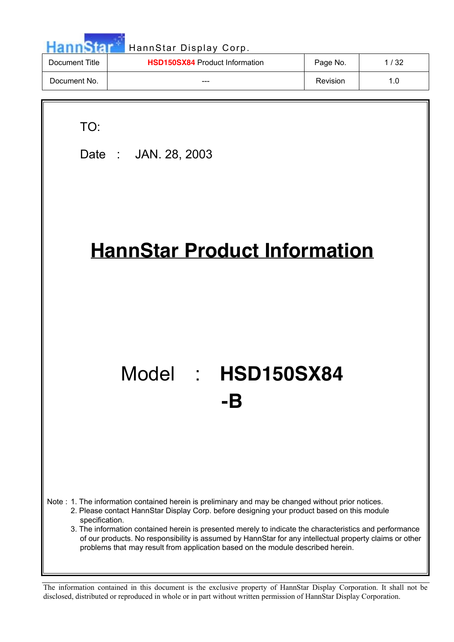|                | HannStar Display Corp.                |          |        |
|----------------|---------------------------------------|----------|--------|
| Document Title | <b>HSD150SX84 Product Information</b> | Page No. | 1 / 32 |
| Document No.   |                                       | Revision | 1.0    |
|                |                                       |          |        |

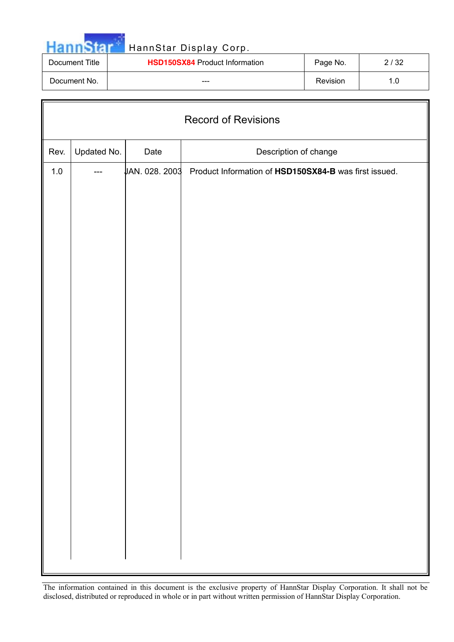|                | HannStar Display Corp.                |          |      |
|----------------|---------------------------------------|----------|------|
| Document Title | <b>HSD150SX84 Product Information</b> | Page No. | 2/32 |
| Document No.   | ---                                   | Revision | 1.0  |

| <b>Record of Revisions</b> |                                              |                |                                                       |  |  |  |  |  |
|----------------------------|----------------------------------------------|----------------|-------------------------------------------------------|--|--|--|--|--|
| Rev.                       | Updated No.<br>Date<br>Description of change |                |                                                       |  |  |  |  |  |
| $1.0$                      |                                              | JAN. 028. 2003 | Product Information of HSD150SX84-B was first issued. |  |  |  |  |  |
|                            |                                              |                |                                                       |  |  |  |  |  |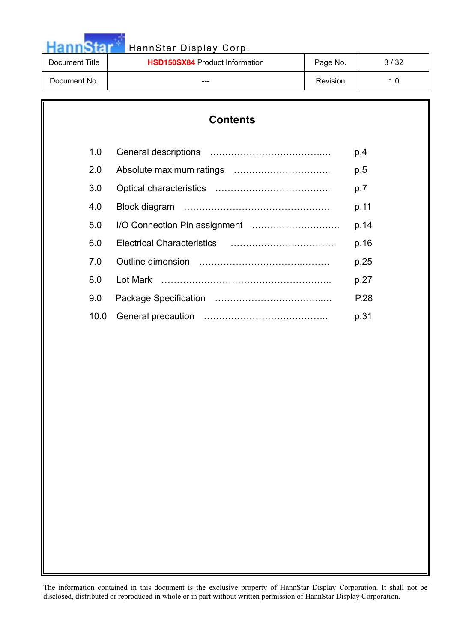|                | HannStar Display Corp.                |          |      |  |  |
|----------------|---------------------------------------|----------|------|--|--|
| Document Title | <b>HSD150SX84 Product Information</b> | Page No. | 3/32 |  |  |
| Document No.   | ---                                   | Revision | 1.0  |  |  |

|      | <b>Contents</b> |      |  |  |  |  |  |
|------|-----------------|------|--|--|--|--|--|
| 1.0  |                 | p.4  |  |  |  |  |  |
| 2.0  |                 | p.5  |  |  |  |  |  |
| 3.0  |                 | p.7  |  |  |  |  |  |
| 4.0  |                 | p.11 |  |  |  |  |  |
| 5.0  |                 | p.14 |  |  |  |  |  |
| 6.0  |                 | p.16 |  |  |  |  |  |
| 7.0  |                 | p.25 |  |  |  |  |  |
| 8.0  |                 | p.27 |  |  |  |  |  |
| 9.0  |                 | P.28 |  |  |  |  |  |
| 10.0 |                 | p.31 |  |  |  |  |  |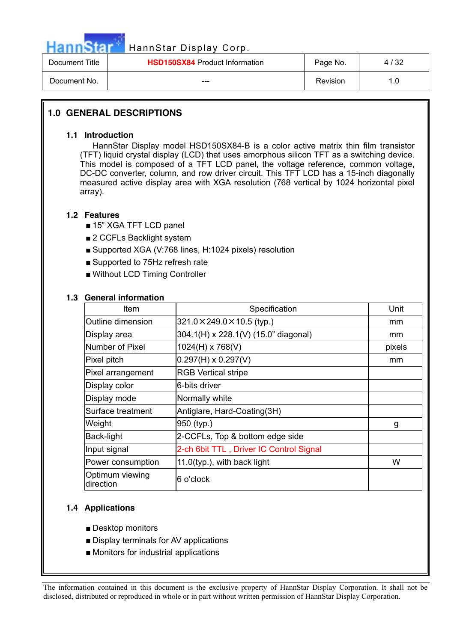

| Document Title | <b>HSD150SX84</b> Product Information | Page No. | 4/32 |
|----------------|---------------------------------------|----------|------|
| Document No.   | ---                                   | Revision |      |

### **1.0 GENERAL DESCRIPTIONS**

### **1.1 Introduction**

 HannStar Display model HSD150SX84-B is a color active matrix thin film transistor (TFT) liquid crystal display (LCD) that uses amorphous silicon TFT as a switching device. This model is composed of a TFT LCD panel, the voltage reference, common voltage, DC-DC converter, column, and row driver circuit. This TFT LCD has a 15-inch diagonally measured active display area with XGA resolution (768 vertical by 1024 horizontal pixel array).

### **1.2 Features**

- 15" XGA TFT LCD panel
- 2 CCFLs Backlight system
- Supported XGA (V:768 lines, H:1024 pixels) resolution
- $\blacksquare$  Supported to 75Hz refresh rate
- Without LCD Timing Controller

### **1.3 General information**

| <b>Item</b>                  | Specification                           | Unit   |
|------------------------------|-----------------------------------------|--------|
| Outline dimension            | $321.0 \times 249.0 \times 10.5$ (typ.) |        |
| Display area                 | 304.1(H) x 228.1(V) (15.0" diagonal)    | mm     |
| Number of Pixel              | 1024(H) x 768(V)                        | pixels |
| Pixel pitch                  | $0.297(H) \times 0.297(V)$              | mm     |
| Pixel arrangement            | <b>RGB Vertical stripe</b>              |        |
| Display color                | 6-bits driver                           |        |
| Display mode                 | Normally white                          |        |
| Surface treatment            | Antiglare, Hard-Coating(3H)             |        |
| Weight                       | 950 (typ.)                              | g      |
| Back-light                   | 2-CCFLs, Top & bottom edge side         |        |
| Input signal                 | 2-ch 6bit TTL, Driver IC Control Signal |        |
| Power consumption            | $11.0$ (typ.), with back light          | W      |
| Optimum viewing<br>direction | 6 o'clock                               |        |

### **1.4 Applications**

- $\blacksquare$  Desktop monitors
- $\blacksquare$  Display terminals for AV applications
- $\blacksquare$  Monitors for industrial applications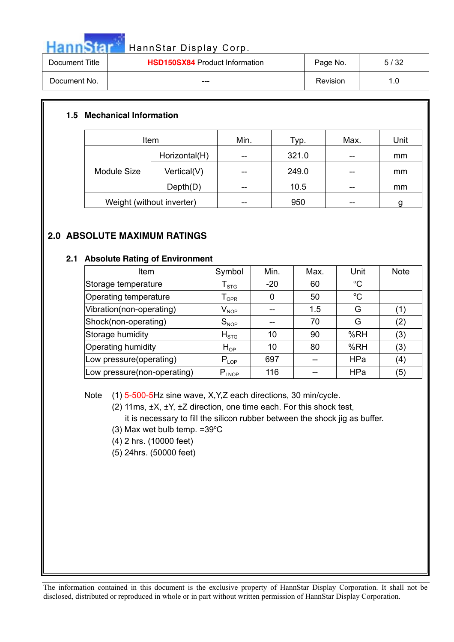|                | HannStar Display Corp.                |          |      |  |  |  |
|----------------|---------------------------------------|----------|------|--|--|--|
| Document Title | <b>HSD150SX84 Product Information</b> | Page No. | 5/32 |  |  |  |
| Document No.   | ---                                   | Revision | 1.0  |  |  |  |

### **1.5 Mechanical Information**

| Item                      |               | Min. | Typ.  | Max. | Unit |
|---------------------------|---------------|------|-------|------|------|
| Module Size               | Horizontal(H) | --   | 321.0 | --   | mm   |
|                           | Vertical(V)   | --   | 249.0 | --   | mm   |
|                           | Depth(D)      | --   | 10.5  | --   | mm   |
| Weight (without inverter) |               |      | 950   |      |      |

### **2.0 ABSOLUTE MAXIMUM RATINGS**

### **2.1 Absolute Rating of Environment**

| Item                        | Symbol                       | Min.  | Max. | Unit            | <b>Note</b> |
|-----------------------------|------------------------------|-------|------|-----------------|-------------|
| Storage temperature         | ${\mathsf T}_{\text{STG}}$   | $-20$ | 60   | $\rm ^{\circ}C$ |             |
| Operating temperature       | ${\mathsf T}_{\textsf{OPR}}$ | 0     | 50   | $\rm ^{\circ}C$ |             |
| Vibration(non-operating)    | $V_{\mathsf{NOP}}$           |       | 1.5  | G               | (1)         |
| Shock(non-operating)        | $S_{NOP}$                    |       | 70   | G               | (2)         |
| Storage humidity            | $H_{STG}$                    | 10    | 90   | %RH             | (3)         |
| <b>Operating humidity</b>   | $H_{OP}$                     | 10    | 80   | %RH             | (3)         |
| Low pressure(operating)     | $P_{LOP}$                    | 697   |      | <b>HPa</b>      | (4)         |
| Low pressure(non-operating) | $P_{LNOP}$                   | 116   |      | HPa             | (5)         |

Note (1) 5-500-5Hz sine wave, X,Y,Z each directions, 30 min/cycle.

(2) 11ms, ±X, ±Y, ±Z direction, one time each. For this shock test, it is necessary to fill the silicon rubber between the shock jig as buffer.

- $(3)$  Max wet bulb temp. = 39 $\mathrm{°C}$
- (4) 2 hrs. (10000 feet)
- (5) 24hrs. (50000 feet)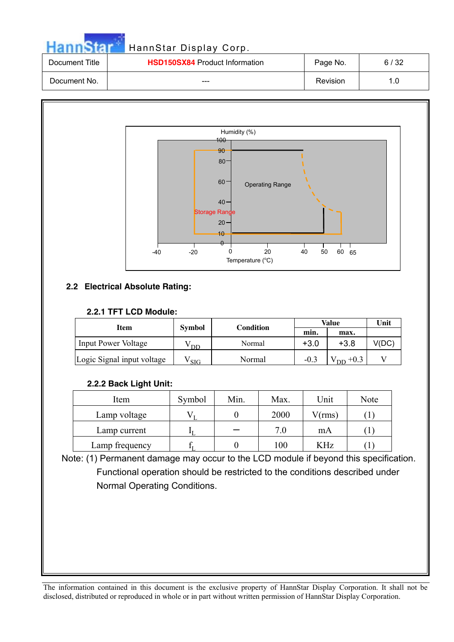|                | HannStar Display Corp.                |          |      |
|----------------|---------------------------------------|----------|------|
| Document Title | <b>HSD150SX84 Product Information</b> | Page No. | 6/32 |
| Document No.   | ---                                   | Revision | 1.0  |



### **2.2 Electrical Absolute Rating:**

### **2.2.1 TFT LCD Module:**

|                            |               |           |        | Value                    | Unit  |  |
|----------------------------|---------------|-----------|--------|--------------------------|-------|--|
| Item                       | <b>Symbol</b> | Condition | min.   |                          |       |  |
| <b>Input Power Voltage</b> | DD            | Normal    | $+3.0$ | $+3.8$                   | V(DC) |  |
| Logic Signal input voltage | SIG           | Normal    | $-0.3$ | $+0.3$<br>D <sub>D</sub> |       |  |

### **2.2.2 Back Light Unit:**

| Item           | Symbol | Min. | Max. | Unit       | Note                                                                                |
|----------------|--------|------|------|------------|-------------------------------------------------------------------------------------|
| Lamp voltage   |        |      | 2000 | V(rms)     |                                                                                     |
| Lamp current   |        |      | 7.0  | mA         |                                                                                     |
| Lamp frequency |        |      | 100  | <b>KHz</b> | $\mathbf{\mathbf{\mathbf{\mathbf{\mathbf{\mathbf{\mathbf{\mathbf{\mathbf{I}}}}}}}}$ |

Note: (1) Permanent damage may occur to the LCD module if beyond this specification. Functional operation should be restricted to the conditions described under Normal Operating Conditions.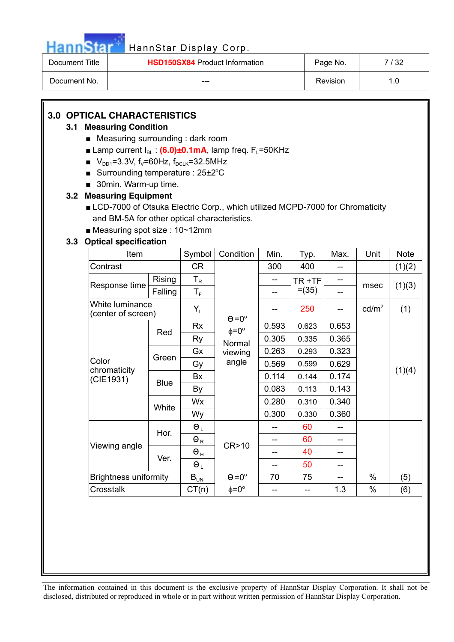### HannStar Display Corp.

| Document Title | <b>HSD150SX84 Product Information</b> | Page No. | 7 / 32 |
|----------------|---------------------------------------|----------|--------|
| Document No.   | $- - -$                               | Revision |        |

### **3.0 OPTICAL CHARACTERISTICS**

### **3.1 Measuring Condition**

- $\blacksquare$  Measuring surrounding : dark room
- **Examp current I<sub>BL</sub>:**  $(6.0) \pm 0.1 \text{ mA}$ **, lamp freq. F<sub>L</sub>=50KHz**
- $V_{DD1}=3.3V$ , f<sub>V</sub>=60Hz, f<sub>DCLK</sub>=32.5MHz
- Surrounding temperature :  $25\pm2^{\circ}C$
- $\Box$  30min. Warm-up time.

### **3.2 Measuring Equipment**

- LCD-7000 of Otsuka Electric Corp., which utilized MCPD-7000 for Chromaticity and BM-5A for other optical characteristics.
- $\blacksquare$  Measuring spot size : 10~12mm

### **3.3 Optical specification**

| Item                                  |             | Symbol                  | Condition          | Min.  | Typ.     | Max.  | Unit            | <b>Note</b> |
|---------------------------------------|-------------|-------------------------|--------------------|-------|----------|-------|-----------------|-------------|
| Contrast                              |             | <b>CR</b>               |                    | 300   | 400      |       |                 | (1)(2)      |
| Response time                         | Rising      | $T_R$                   |                    |       | TR+TF    |       | msec            |             |
|                                       | Falling     | $\mathsf{T}_\mathsf{F}$ |                    |       | $= (35)$ | --    |                 | (1)(3)      |
| White luminance<br>(center of screen) |             | $Y_L$                   | $\Theta = 0^\circ$ |       | 250      |       | $\text{cd/m}^2$ | (1)         |
|                                       | Red         | Rx                      | $\phi = 0^{\circ}$ | 0.593 | 0.623    | 0.653 |                 |             |
|                                       |             | <b>Ry</b>               | Normal             | 0.305 | 0.335    | 0.365 |                 |             |
|                                       | Green       | Gx                      | viewing            | 0.263 | 0.293    | 0.323 |                 |             |
| Color<br>chromaticity                 |             | Gy                      | angle              | 0.569 | 0.599    | 0.629 |                 |             |
| (CIE1931)                             | <b>Blue</b> | Bx                      |                    | 0.114 | 0.144    | 0.174 |                 | (1)(4)      |
|                                       |             | By                      |                    | 0.083 | 0.113    | 0.143 |                 |             |
|                                       | White       | Wx                      |                    | 0.280 | 0.310    | 0.340 |                 |             |
|                                       |             | Wy                      |                    | 0.300 | 0.330    | 0.360 |                 |             |
|                                       | Hor.        | $\Theta_L$              |                    |       | 60       |       |                 |             |
| Viewing angle                         |             | $\Theta_R$              | CR>10              |       | 60       |       |                 |             |
|                                       | Ver.        | $\Theta$ <sub>H</sub>   |                    |       | 40       | --    |                 |             |
|                                       |             | $\Theta_L$              |                    |       | 50       |       |                 |             |
| <b>Brightness uniformity</b>          |             | $B_{UNI}$               | $\Theta = 0^\circ$ | 70    | 75       | --    | %               | (5)         |
| Crosstalk                             |             | CT(n)                   | $\phi = 0^{\circ}$ |       |          | 1.3   | %               | (6)         |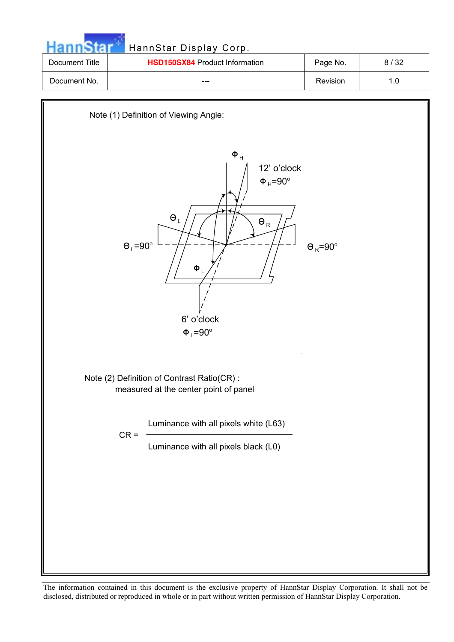|                | HannStar Display Corp.                |          |      |
|----------------|---------------------------------------|----------|------|
| Document Title | <b>HSD150SX84 Product Information</b> | Page No. | 8/32 |
| Document No.   | ---                                   | Revision | 1.0  |

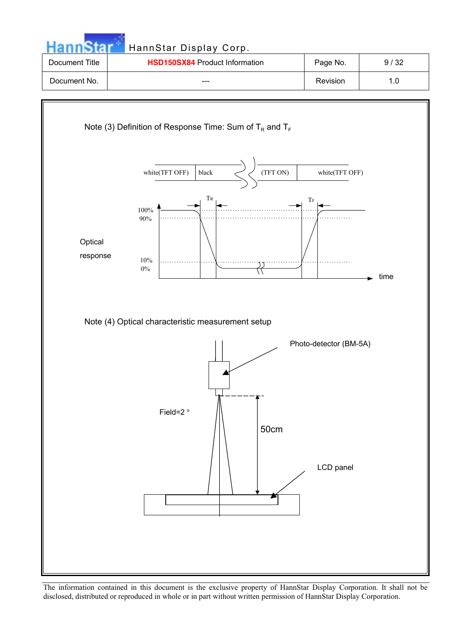

Note (4) Optical characteristic measurement setup

0%



time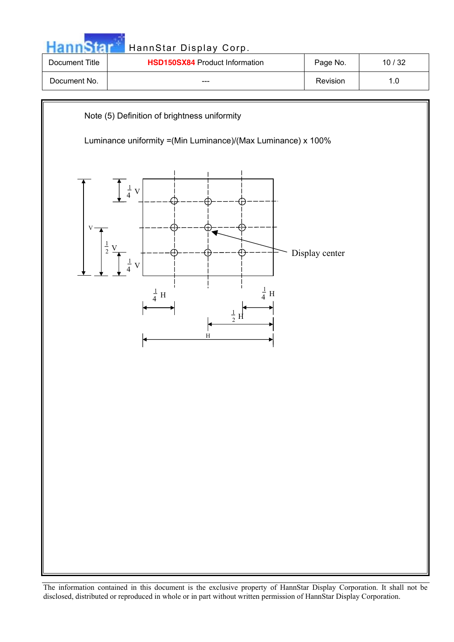|                | HannStar Display Corp.                |          |       |
|----------------|---------------------------------------|----------|-------|
| Document Title | <b>HSD150SX84 Product Information</b> | Page No. | 10/32 |
| Document No.   | ---                                   | Revision | 1.0   |
|                |                                       |          |       |

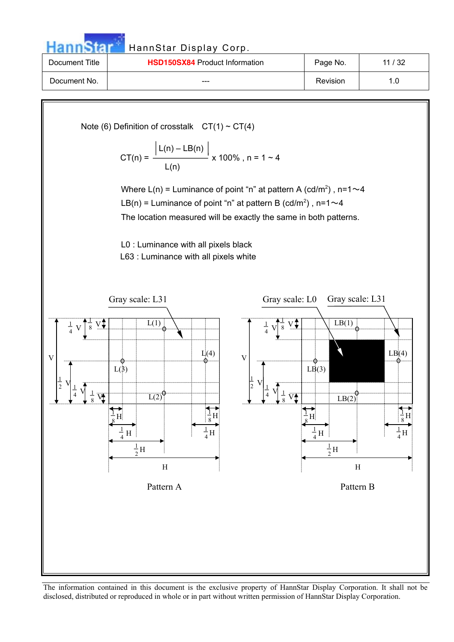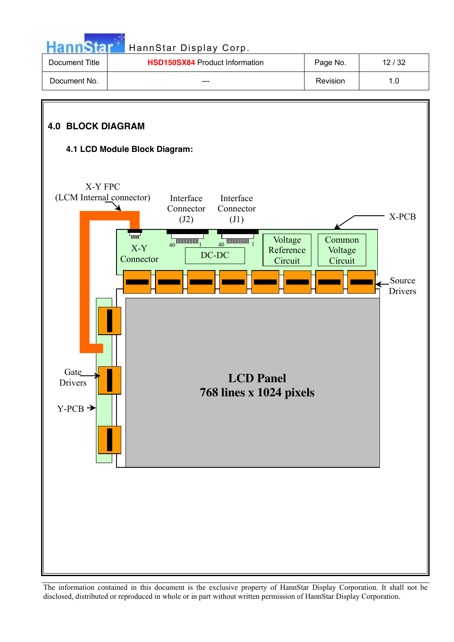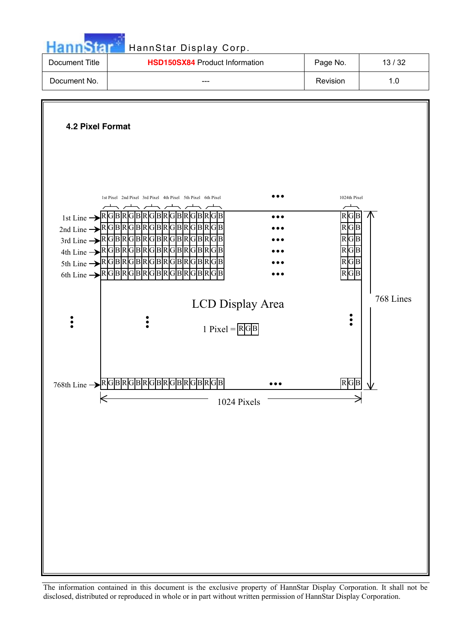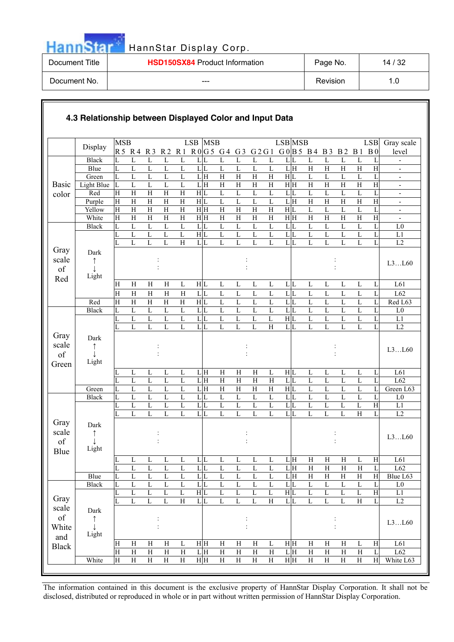|                | HannStar Display Corp.                |          |       |
|----------------|---------------------------------------|----------|-------|
| Document Title | <b>HSD150SX84 Product Information</b> | Page No. | 14/32 |
| Document No.   | ---                                   | Revision | 1.0   |

### **4.3 Relationship between Displayed Color and Input Data** Display MSB LSB R5 R4 R3 R2 R1 R0 G5 G4 G3 G2G1 G0 B5 B4 B3 B2 B1 B0 LSB MSB LSB MSB LSB Gray scale level Black L L L L L L L L L L L L L L L L L L - Blue  $|L L L L L L L L L L L L L H H H H H|$  -Green L L L L L L H H H H H H L L L L L L - Light Blue L L L L L L H H H H H H H H H H H H - Red H H H H H H L L L L L L L L L L L L - Purple  $\begin{array}{cccccccccccccccccc} \text{H} & \text{H} & \text{H} & \text{H} & \text{H} & \text{H} & \text{H} \end{array}$   $\begin{array}{cccccccccccccccccc} \text{H} & \text{H} & \text{H} & \text{H} & \text{H} & \text{H} & \text{H} & \text{H} \end{array}$ Yellow H H H H H H H H H H H H L L L L L L - Basic color White H H H H H H H H H H H H H H H H H H - Black L L L L L L L L L L L L L L L L L L L0 LLLLLH L L L L L L L L L L L L L1 LLLLHL L L L L L L L L L L L L L2 : : : : : : L3...L60 HHHHLH L L L L L L L L L L L L L61 Dark  $\uparrow$ Ļ Light HHHHHL L L L L L L L L L L L L L62 Gray scale of Red Red H H H H H H L L L L L L L L L L L L Red L63 Black L L L L L L L L L L L L L L L L L L L0 LLLLLL LLLLLH L L L L L L L1 L L L L L LL LLLHL L L L L L L L2 : : : : : : L3...L60 LLLLLL HHHHLH L L L L L L L61 Dark  $\uparrow$ Ļ Light LLLLLL HHHHHL L L L L L L L62 Gray scale of Green Green L L L L L L H H H H H H L L L L L L Green L63 Black L L L L L L L L L L L L L L L L L L L0 L L L L L LL L L L L L L L L L L H L1 L L L L L LL L L L L LL L L L H L L2 : : : : :  $L3...L60$ L L L L L LL L L L L L H H H H L H L61 Dark  $\uparrow$  $\mathbf{I}$ Light L L L L L LL L L L L L H H H H H L L62 Gray scale of Blue Blue |L L L L L L L L L L L L H H H H Blue L63 Black L L L L L L L L L L L L L L L L L L L0 L L L L L H L L L L L H L L L L L H L1 L L L L H L|L L L L H L|L L L L H L| L2 : : : : : : L3...L60 H H H H L H H H H H L H H H H H L H L61 Dark  $\uparrow$  $\perp$ Light H H H H L|H H H H H H H H L|H H H L| L62 Gray scale of **White** and Black White H H H H H H H H H H H H H H H H White L63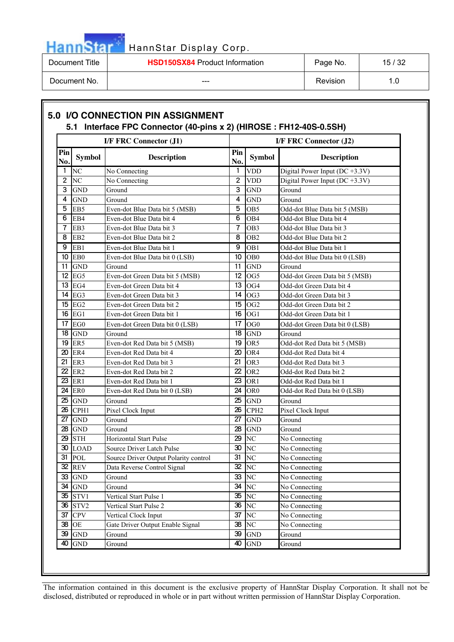| Hanns |
|-------|
|       |

# HannStar Display Corp.

| Document Title | <b>HSD150SX84</b> Product Information | Page No. | 15/32 |
|----------------|---------------------------------------|----------|-------|
| Document No.   | $- - -$                               | Revision |       |

|                |                      | I/F FRC Connector (J1)                |                  | I/F FRC Connector (J2) |                                    |  |
|----------------|----------------------|---------------------------------------|------------------|------------------------|------------------------------------|--|
| Pin<br>No.     | <b>Symbol</b>        | <b>Description</b>                    | Pin<br>No.       | <b>Symbol</b>          | <b>Description</b>                 |  |
| 1              | N <sub>C</sub>       | No Connecting                         | 1                | <b>VDD</b>             | Digital Power Input ( $DC +3.3V$ ) |  |
| $\overline{2}$ | N <sub>C</sub>       | No Connecting                         | $\overline{2}$   | <b>VDD</b>             | Digital Power Input ( $DC +3.3V$ ) |  |
| 3              | <b>GND</b>           | Ground                                | 3                | <b>GND</b>             | Ground                             |  |
| 4              | <b>GND</b>           | Ground                                | 4                | <b>GND</b>             | Ground                             |  |
| 5              | EB5                  | Even-dot Blue Data bit 5 (MSB)        | 5                | OB <sub>5</sub>        | Odd-dot Blue Data bit 5 (MSB)      |  |
| 6              | EB4                  | Even-dot Blue Data bit 4              | 6                | OB <sub>4</sub>        | Odd-dot Blue Data bit 4            |  |
| 7              | EB3                  | Even-dot Blue Data bit 3              | 7                | OB <sub>3</sub>        | Odd-dot Blue Data bit 3            |  |
| 8              | EB <sub>2</sub>      | Even-dot Blue Data bit 2              | 8                | OB <sub>2</sub>        | Odd-dot Blue Data bit 2            |  |
| 9              | EB1                  | Even-dot Blue Data bit 1              | 9                | OB <sub>1</sub>        | Odd-dot Blue Data bit 1            |  |
|                | 10 EB0               | Even-dot Blue Data bit 0 (LSB)        | 10 <sup>10</sup> | OB <sub>0</sub>        | Odd-dot Blue Data bit 0 (LSB)      |  |
| 11             | <b>GND</b>           | Ground                                | 11               | <b>GND</b>             | Ground                             |  |
|                | 12 EG5               | Even-dot Green Data bit 5 (MSB)       | 12               | OG5                    | Odd-dot Green Data bit 5 (MSB)     |  |
|                | $13$ EG4             | Even-dot Green Data bit 4             | 13               | OG4                    | Odd-dot Green Data bit 4           |  |
|                | 14 EG3               | Even-dot Green Data bit 3             | 14               | OG3                    | Odd-dot Green Data bit 3           |  |
|                | 15 EG2               | Even-dot Green Data bit 2             | 15               | OG <sub>2</sub>        | Odd-dot Green Data bit 2           |  |
|                | $16$ EG1             | Even-dot Green Data bit 1             | 16               | OG1                    | Odd-dot Green Data bit 1           |  |
|                | 17 EG0               | Even-dot Green Data bit 0 (LSB)       | 17               | OG <sub>0</sub>        | Odd-dot Green Data bit 0 (LSB)     |  |
|                | $18$ GND             | Ground                                | 18               | <b>GND</b>             | Ground                             |  |
|                | 19 ER5               | Even-dot Red Data bit 5 (MSB)         | 19               | OR5                    | Odd-dot Red Data bit 5 (MSB)       |  |
|                | <b>20 ER4</b>        | Even-dot Red Data bit 4               | 20               | OR4                    | Odd-dot Red Data bit 4             |  |
| 21             | ER3                  | Even-dot Red Data bit 3               | 21               | OR3                    | Odd-dot Red Data bit 3             |  |
| 22             | ER <sub>2</sub>      | Even-dot Red Data bit 2               | 22               | OR <sub>2</sub>        | Odd-dot Red Data bit 2             |  |
| 23             | ER1                  | Even-dot Red Data bit 1               | 23               | OR <sub>1</sub>        | Odd-dot Red Data bit 1             |  |
|                | <b>24 ER0</b>        | Even-dot Red Data bit 0 (LSB)         | 24               | OR <sub>0</sub>        | Odd-dot Red Data bit 0 (LSB)       |  |
| 25.            | <b>GND</b>           | Ground                                | 25               | <b>GND</b>             | Ground                             |  |
|                | 26 CPH1              | Pixel Clock Input                     | 26               | CPH <sub>2</sub>       | Pixel Clock Input                  |  |
| 27             | <b>GND</b>           | Ground                                | 27               | <b>GND</b>             | Ground                             |  |
|                | <b>28 GND</b>        | Ground                                | 28               | <b>GND</b>             | Ground                             |  |
| 29             | <b>STH</b>           | <b>Horizontal Start Pulse</b>         | 29               | N <sub>C</sub>         | No Connecting                      |  |
|                | 30 LOAD              | Source Driver Latch Pulse             |                  | $30$ NC                | No Connecting                      |  |
|                | 31 POL               | Source Driver Output Polarity control | 31               | N <sub>C</sub>         | No Connecting                      |  |
|                | $32$ REV             | Data Reverse Control Signal           |                  | $32$ NC                | No Connecting                      |  |
|                | 33 GND               | Ground                                | 33               | NC                     | No Connecting                      |  |
|                | 34 GND               | Ground                                | 34               | N <sub>C</sub>         | No Connecting                      |  |
|                | 35 STV1              | Vertical Start Pulse 1                | 35               | N <sub>C</sub>         | No Connecting                      |  |
|                | 36 STV2              | Vertical Start Pulse 2                | 36               | N <sub>C</sub>         | No Connecting                      |  |
|                | <b>37 CPV</b>        | Vertical Clock Input                  | 37               | N <sub>C</sub>         | No Connecting                      |  |
|                | 38 OE                | Gate Driver Output Enable Signal      | 38               | N <sub>C</sub>         | No Connecting                      |  |
| 39             | <b>GND</b>           | Ground                                | 39               | <b>GND</b>             | Ground                             |  |
| 40             | $\operatorname{GND}$ | Ground                                | 40               | <b>GND</b>             | Ground                             |  |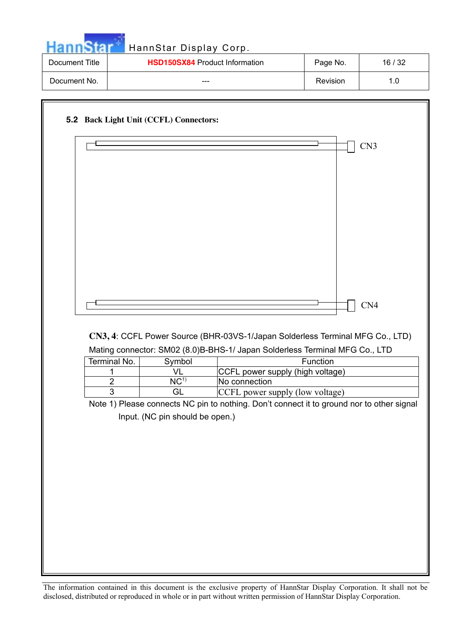|                | HannStar Display Corp.                |          |       |
|----------------|---------------------------------------|----------|-------|
| Document Title | <b>HSD150SX84 Product Information</b> | Page No. | 16/32 |
| Document No.   | ---                                   | Revision | 1.0   |

| CN4<br>Terminal No.<br>Function<br>Symbol<br>CCFL power supply (high voltage)<br>VL<br>1<br>NC <sup>1</sup><br>$\overline{2}$<br>No connection<br>3<br>GL<br>CCFL power supply (low voltage)<br>Input. (NC pin should be open.) | CN3, 4: CCFL Power Source (BHR-03VS-1/Japan Solderless Terminal MFG Co., LTD)<br>Mating connector: SM02 (8.0)B-BHS-1/ Japan Solderless Terminal MFG Co., LTD<br>Note 1) Please connects NC pin to nothing. Don't connect it to ground nor to other signal |  | CN3 |
|---------------------------------------------------------------------------------------------------------------------------------------------------------------------------------------------------------------------------------|-----------------------------------------------------------------------------------------------------------------------------------------------------------------------------------------------------------------------------------------------------------|--|-----|
|                                                                                                                                                                                                                                 |                                                                                                                                                                                                                                                           |  |     |
|                                                                                                                                                                                                                                 |                                                                                                                                                                                                                                                           |  |     |
|                                                                                                                                                                                                                                 |                                                                                                                                                                                                                                                           |  |     |
|                                                                                                                                                                                                                                 |                                                                                                                                                                                                                                                           |  |     |
|                                                                                                                                                                                                                                 |                                                                                                                                                                                                                                                           |  |     |
|                                                                                                                                                                                                                                 |                                                                                                                                                                                                                                                           |  |     |
|                                                                                                                                                                                                                                 |                                                                                                                                                                                                                                                           |  |     |
|                                                                                                                                                                                                                                 |                                                                                                                                                                                                                                                           |  |     |
|                                                                                                                                                                                                                                 |                                                                                                                                                                                                                                                           |  |     |
|                                                                                                                                                                                                                                 |                                                                                                                                                                                                                                                           |  |     |
|                                                                                                                                                                                                                                 |                                                                                                                                                                                                                                                           |  |     |
|                                                                                                                                                                                                                                 |                                                                                                                                                                                                                                                           |  |     |
|                                                                                                                                                                                                                                 |                                                                                                                                                                                                                                                           |  |     |
|                                                                                                                                                                                                                                 |                                                                                                                                                                                                                                                           |  |     |
|                                                                                                                                                                                                                                 |                                                                                                                                                                                                                                                           |  |     |
|                                                                                                                                                                                                                                 |                                                                                                                                                                                                                                                           |  |     |
|                                                                                                                                                                                                                                 |                                                                                                                                                                                                                                                           |  |     |
|                                                                                                                                                                                                                                 |                                                                                                                                                                                                                                                           |  |     |
|                                                                                                                                                                                                                                 |                                                                                                                                                                                                                                                           |  |     |
|                                                                                                                                                                                                                                 |                                                                                                                                                                                                                                                           |  |     |
|                                                                                                                                                                                                                                 |                                                                                                                                                                                                                                                           |  |     |
|                                                                                                                                                                                                                                 |                                                                                                                                                                                                                                                           |  |     |
|                                                                                                                                                                                                                                 |                                                                                                                                                                                                                                                           |  |     |
|                                                                                                                                                                                                                                 |                                                                                                                                                                                                                                                           |  |     |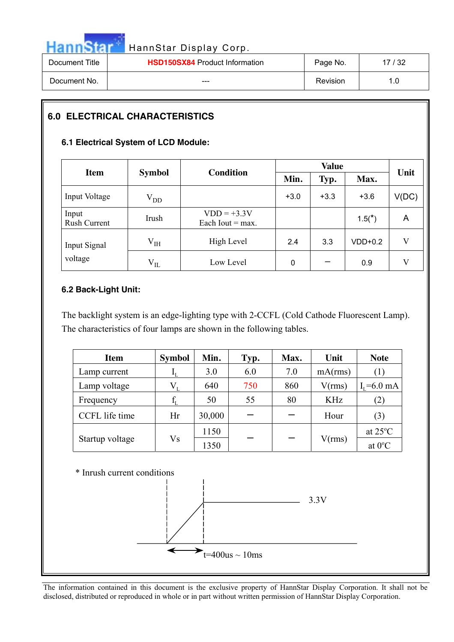|                | HannStar Display Corp.                |          |       |
|----------------|---------------------------------------|----------|-------|
| Document Title | <b>HSD150SX84 Product Information</b> | Page No. | 17/32 |
| Document No.   |                                       | Revision | 1.0   |

## **6.0 ELECTRICAL CHARACTERISTICS**

### **6.1 Electrical System of LCD Module:**

| <b>Item</b>           | <b>Symbol</b> | <b>Condition</b>                    |        | Typ.   | Max.      | Unit  |
|-----------------------|---------------|-------------------------------------|--------|--------|-----------|-------|
| Input Voltage         | $\rm V_{DD}$  |                                     | $+3.0$ | $+3.3$ | $+3.6$    | V(DC) |
| Input<br>Rush Current | Irush         | $VDD = +3.3V$<br>Each Iout $=$ max. |        |        | $1.5(*)$  | A     |
| Input Signal          | $\rm V_{IH}$  | High Level                          | 2.4    | 3.3    | $VDD+0.2$ | V     |
| voltage               | $\rm V_{II}$  | Low Level                           | 0      |        | 0.9       | V     |

### **6.2 Back-Light Unit:**

The backlight system is an edge-lighting type with 2-CCFL (Cold Cathode Fluorescent Lamp). The characteristics of four lamps are shown in the following tables.

| <b>Item</b>     | <b>Symbol</b> | Min.   | Typ. | Max. | Unit       | <b>Note</b>       |
|-----------------|---------------|--------|------|------|------------|-------------------|
| Lamp current    |               | 3.0    | 6.0  | 7.0  | mA(rms)    | $\left(1\right)$  |
| Lamp voltage    | $V_{I}$       | 640    | 750  | 860  | V(rms)     | $I_{I} = 6.0$ mA  |
| Frequency       |               | 50     | 55   | 80   | <b>KHz</b> | (2)               |
| CCFL life time  | Hr            | 30,000 |      |      | Hour       | (3)               |
|                 |               | 1150   |      |      |            | at $25^{\circ}$ C |
| Startup voltage | Vs            | 1350   |      |      | V(rms)     | at $0^{\circ}$ C  |

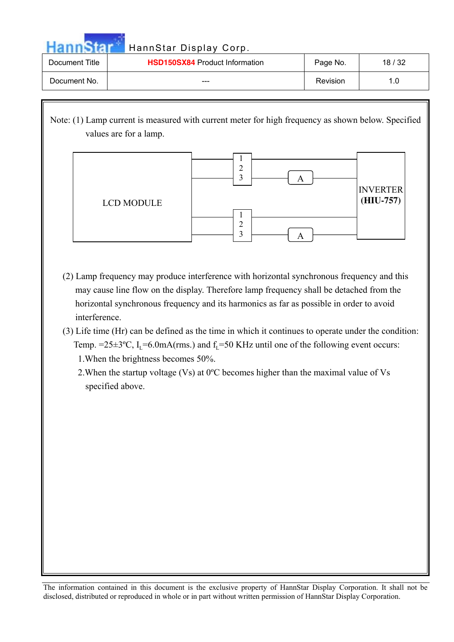| Hannsfar       | HannStar Display Corp.                |          |       |
|----------------|---------------------------------------|----------|-------|
| Document Title | <b>HSD150SX84 Product Information</b> | Page No. | 18/32 |
| Document No.   | ---                                   | Revision | 1.0   |

Note: (1) Lamp current is measured with current meter for high frequency as shown below. Specified values are for a lamp.



- (2) Lamp frequency may produce interference with horizontal synchronous frequency and this may cause line flow on the display. Therefore lamp frequency shall be detached from the horizontal synchronous frequency and its harmonics as far as possible in order to avoid interference.
- (3) Life time (Hr) can be defined as the time in which it continues to operate under the condition: Temp. =25 $\pm$ 3°C, I<sub>L</sub>=6.0mA(rms.) and f<sub>L</sub>=50 KHz until one of the following event occurs: 1.When the brightness becomes 50%.
	- 2.When the startup voltage (Vs) at 0ºC becomes higher than the maximal value of Vs specified above.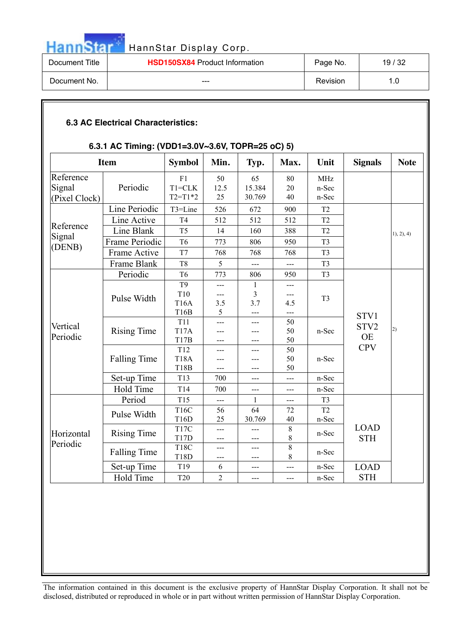|                | HannStar Display Corp.                |          |       |
|----------------|---------------------------------------|----------|-------|
| Document Title | <b>HSD150SX84 Product Information</b> | Page No. | 19/32 |
| Document No.   | ---                                   | Revision | 1.0   |

| <b>6.3 AC Electrical Characteristics:</b> |
|-------------------------------------------|
|-------------------------------------------|

### **6.3.1 AC Timing: (VDD1=3.0V~3.6V, TOPR=25 oC) 5)**

|                      | <b>Item</b>         | <b>Symbol</b>     | Min.           | Typ.         | Max.  | Unit               | <b>Signals</b> | <b>Note</b> |
|----------------------|---------------------|-------------------|----------------|--------------|-------|--------------------|----------------|-------------|
| Reference            |                     | F1                | 50             | 65           | 80    | <b>MHz</b>         |                |             |
| Signal               | Periodic            | $T1 = CLK$        | 12.5           | 15.384       | 20    | n-Sec              |                |             |
| (Pixel Clock)        |                     | $T2 = T1*2$       | 25             | 30.769       | 40    | n-Sec              |                |             |
|                      | Line Periodic       | T3=Line           | 526            | 672          | 900   | T <sub>2</sub>     |                |             |
|                      | Line Active         | T <sub>4</sub>    | 512            | 512          | 512   | T <sub>2</sub>     |                |             |
| Reference            | Line Blank          | T <sub>5</sub>    | 14             | 160          | 388   | T <sub>2</sub>     |                | 1), 2), 4)  |
| Signal               | Frame Periodic      | T <sub>6</sub>    | 773            | 806          | 950   | T <sub>3</sub>     |                |             |
| (DENB)               | Frame Active        | T7                | 768            | 768          | 768   | T <sub>3</sub>     |                |             |
|                      | Frame Blank         | T <sub>8</sub>    | 5              | ---          | ---   | T <sub>3</sub>     |                |             |
|                      | Periodic            | T <sub>6</sub>    | 773            | 806          | 950   | T <sub>3</sub>     |                |             |
| Vertical<br>Periodic |                     | T <sub>9</sub>    | ---            | $\mathbf{1}$ | ---   |                    |                |             |
|                      | Pulse Width         | T10               | ---            | 3            | ---   | T <sub>3</sub>     | STV1<br>STV2   |             |
|                      |                     | <b>T16A</b>       | 3.5            | 3.7          | 4.5   |                    |                |             |
|                      |                     | T16B              | 5              | $---$        | ---   |                    |                |             |
|                      |                     | T11               | $\overline{a}$ | $---$        | 50    |                    |                |             |
|                      | <b>Rising Time</b>  | <b>T17A</b>       | ---            | ---          | 50    | n-Sec<br><b>OE</b> | 2)             |             |
|                      |                     | T17B              | ---            | ---          | 50    |                    | <b>CPV</b>     |             |
|                      |                     | T12               | ---            | ---          | 50    |                    |                |             |
|                      | <b>Falling Time</b> | <b>T18A</b>       | ---            | ---          | 50    | n-Sec              |                |             |
|                      |                     | T18B              | $---$          | ---          | 50    |                    |                |             |
|                      | Set-up Time         | T13               | 700            | ---          | ---   | n-Sec              |                |             |
|                      | <b>Hold Time</b>    | T14               | 700            | $---$        | $---$ | n-Sec              |                |             |
|                      | Period              | T15               | $---$          | $\mathbf{1}$ | ---   | T <sub>3</sub>     |                |             |
|                      | Pulse Width         | T16C              | 56             | 64           | 72    | T <sub>2</sub>     |                |             |
|                      |                     | T16D              | 25             | 30.769       | 40    | n-Sec              |                |             |
|                      |                     | T <sub>17</sub> C | ---            | ---          | $8\,$ |                    | <b>LOAD</b>    |             |
| Horizontal           | <b>Rising Time</b>  | T17D              | $---$          | ---          | $8\,$ | n-Sec              | <b>STH</b>     |             |
| Periodic             |                     | <b>T18C</b>       | ---            | ---          | $8\,$ |                    |                |             |
|                      | <b>Falling Time</b> | T18D              | ---            | ---          | 8     | n-Sec              |                |             |
|                      | Set-up Time         | T19               | 6              | $---$        | $---$ | n-Sec              | <b>LOAD</b>    |             |
|                      | Hold Time           | <b>T20</b>        | $\overline{2}$ | ---          | $--$  | n-Sec              | <b>STH</b>     |             |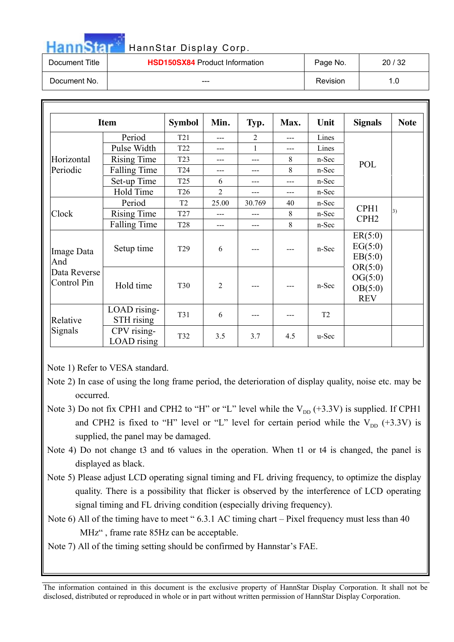| HannStan       | HannStar Display Corp.                |          |       |
|----------------|---------------------------------------|----------|-------|
| Document Title | <b>HSD150SX84 Product Information</b> | Page No. | 20/32 |
| Document No.   |                                       | Revision | 1.0   |

|                             | <b>Item</b>                | <b>Symbol</b>   | Min.           | Typ.           | Max. | Unit           | <b>Signals</b>                              | <b>Note</b> |
|-----------------------------|----------------------------|-----------------|----------------|----------------|------|----------------|---------------------------------------------|-------------|
|                             | Period                     | T <sub>21</sub> | $---$          | $\overline{2}$ | ---  | Lines          |                                             |             |
|                             | Pulse Width                | T <sub>22</sub> | $---$          | 1              | ---  | Lines          |                                             |             |
| Horizontal                  | <b>Rising Time</b>         | T <sub>23</sub> | ---            | ---            | 8    | n-Sec          | POL                                         |             |
| Periodic                    | <b>Falling Time</b>        | T <sub>24</sub> | ---            | ---            | 8    | n-Sec          |                                             |             |
|                             | Set-up Time                | T <sub>25</sub> | 6              | ---            | ---  | n-Sec          |                                             |             |
|                             | Hold Time                  | T <sub>26</sub> | 2              | ---            | ---  | n-Sec          |                                             |             |
| Clock                       | Period                     | T <sub>2</sub>  | 25.00          | 30.769         | 40   | n-Sec          | CPH1<br>CPH <sub>2</sub>                    |             |
|                             | <b>Rising Time</b>         | T <sub>27</sub> | ---            | ---            | 8    | n-Sec          |                                             | 3)          |
|                             | <b>Falling Time</b>        | <b>T28</b>      | $---$          | ---            | 8    | n-Sec          |                                             |             |
| Image Data<br>And           | Setup time                 | T <sub>29</sub> | 6              |                | ---  | n-Sec          | ER(5:0)<br>EG(5:0)<br>EB(5:0)               |             |
| Data Reverse<br>Control Pin | Hold time                  | <b>T30</b>      | $\overline{2}$ |                |      | n-Sec          | OR(5:0)<br>OG(5:0)<br>OB(5:0)<br><b>REV</b> |             |
| Relative                    | LOAD rising-<br>STH rising | T31             | 6              |                |      | T <sub>2</sub> |                                             |             |
| Signals                     | CPV rising-<br>LOAD rising | T32             | 3.5            | 3.7            | 4.5  | u-Sec          |                                             |             |

Note 1) Refer to VESA standard.

- Note 3) Do not fix CPH1 and CPH2 to "H" or "L" level while the  $V_{DD}$  (+3.3V) is supplied. If CPH1 and CPH2 is fixed to "H" level or "L" level for certain period while the  $V_{DD}$  (+3.3V) is supplied, the panel may be damaged.
- Note 4) Do not change t3 and t6 values in the operation. When t1 or t4 is changed, the panel is displayed as black.
- Note 5) Please adjust LCD operating signal timing and FL driving frequency, to optimize the display quality. There is a possibility that flicker is observed by the interference of LCD operating signal timing and FL driving condition (especially driving frequency).
- Note 6) All of the timing have to meet "6.3.1 AC timing chart Pixel frequency must less than 40 MHz" , frame rate 85Hz can be acceptable.
- Note 7) All of the timing setting should be confirmed by Hannstar's FAE.

Note 2) In case of using the long frame period, the deterioration of display quality, noise etc. may be occurred.

The information contained in this document is the exclusive property of HannStar Display Corporation. It shall not be disclosed, distributed or reproduced in whole or in part without written permission of HannStar Display Corporation.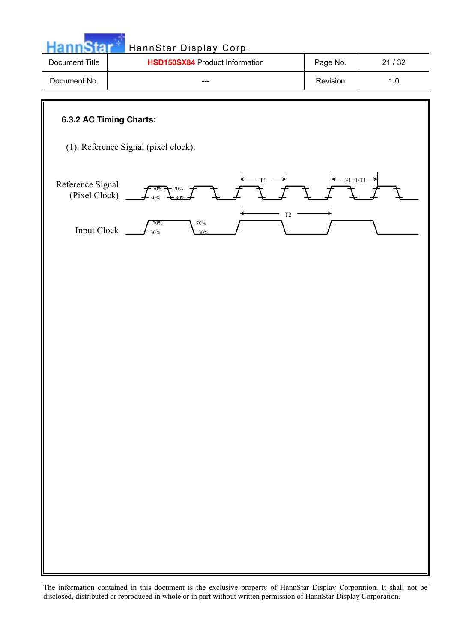| <b>Document Title</b>             | HSD150SX84 Product Information       | Page No.                         | 21/32 |
|-----------------------------------|--------------------------------------|----------------------------------|-------|
| Document No.                      |                                      | Revision                         | 1.0   |
| 6.3.2 AC Timing Charts:           | (1). Reference Signal (pixel clock): |                                  |       |
| Reference Signal<br>(Pixel Clock) | T <sub>1</sub><br>70%<br>70%         | $\leftarrow$ F <sub>1=1/T1</sub> |       |
| <b>Input Clock</b>                | T <sub>2</sub><br>70%<br>70%<br>30%  |                                  |       |
|                                   |                                      |                                  |       |
|                                   |                                      |                                  |       |
|                                   |                                      |                                  |       |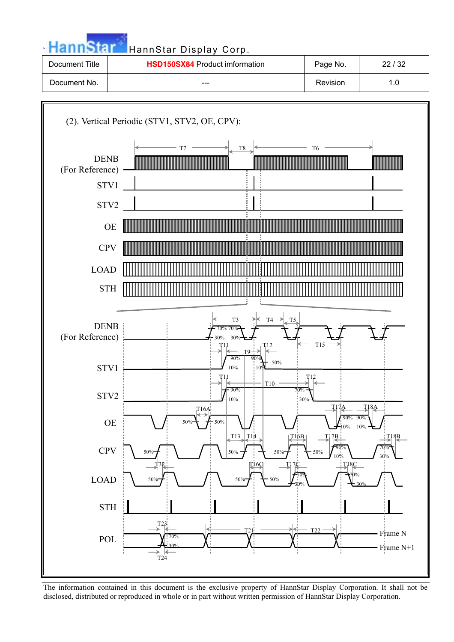

| Document Title | <b>HSD150SX84</b> Product imformation | Page No. | 22/32 |
|----------------|---------------------------------------|----------|-------|
| Document No.   | $- - -$                               | Revision |       |

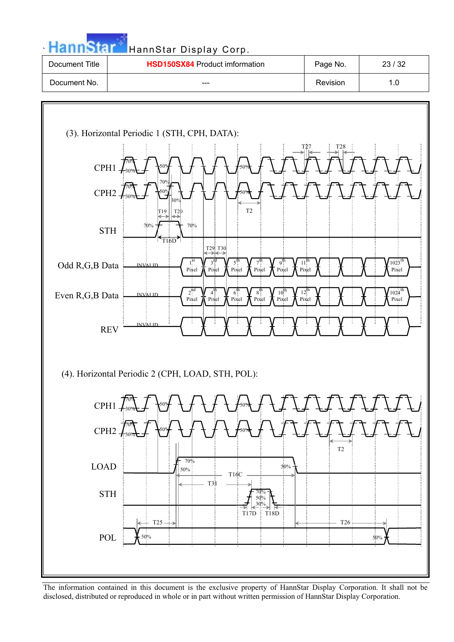| ٠ |  |
|---|--|
|   |  |

**`** HannStar Display Corp.

| Document Title | <b>HSD150SX84</b> Product imformation | Page No. | 23/32 |
|----------------|---------------------------------------|----------|-------|
| Document No.   | ---                                   | Revision |       |

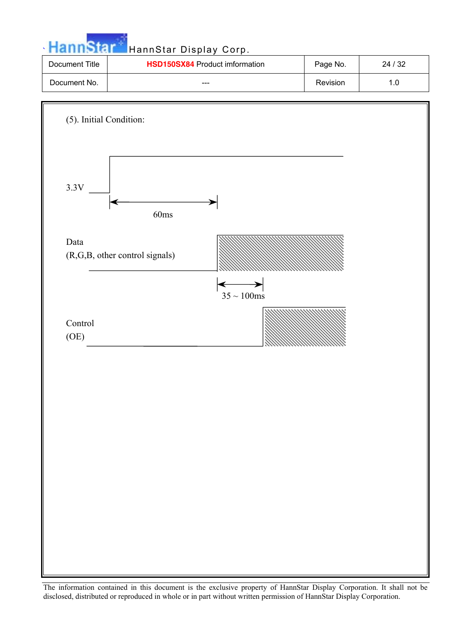

| Document Title | <b>HSD150SX84</b> Product imformation | Page No. | 24 / 32 |
|----------------|---------------------------------------|----------|---------|
| Document No.   | $- - -$                               | Revision |         |

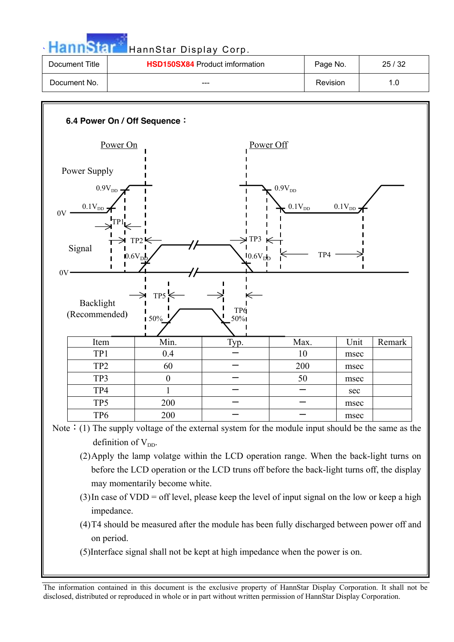

| Document Title | <b>HSD150SX84</b> Product imformation | Page No. | 25/32 |
|----------------|---------------------------------------|----------|-------|
| Document No.   | ---                                   | Revision |       |



- Note: (1) The supply voltage of the external system for the module input should be the same as the definition of  $V_{DD}$ .
	- (2)Apply the lamp volatge within the LCD operation range. When the back-light turns on before the LCD operation or the LCD truns off before the back-light turns off, the display may momentarily become white.
	- (3)In case of VDD = off level, please keep the level of input signal on the low or keep a high impedance.
	- (4)T4 should be measured after the module has been fully discharged between power off and on period.
	- (5)Interface signal shall not be kept at high impedance when the power is on.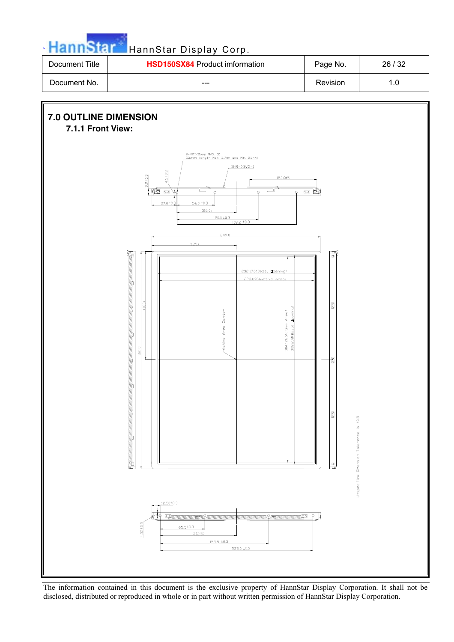

| Document Title | <b>HSD150SX84</b> Product imformation | Page No. | 26/32 |
|----------------|---------------------------------------|----------|-------|
| Document No.   | ---                                   | Revision |       |

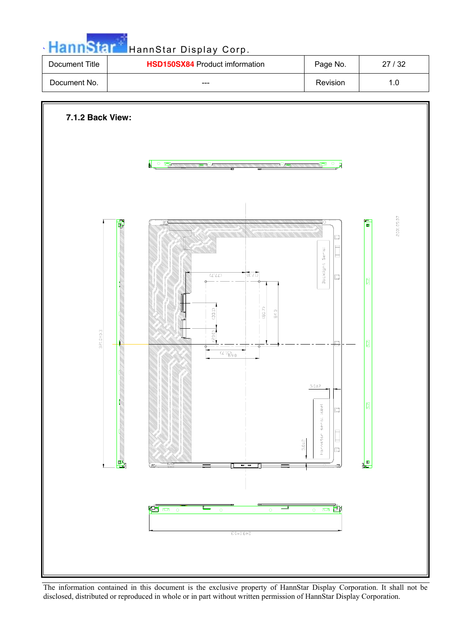

| Document Title | <b>HSD150SX84</b> Product imformation | Page No. | 27/32 |
|----------------|---------------------------------------|----------|-------|
| Document No.   | $- - -$                               | Revision |       |

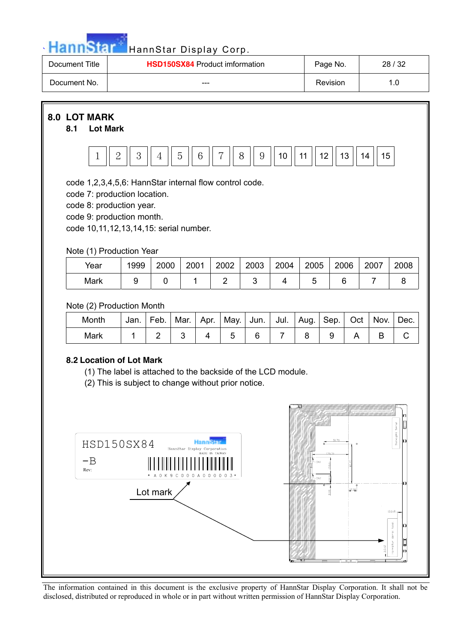

| Document Title | <b>HSD150SX84 Product imformation</b> | Page No. | 28/32 |
|----------------|---------------------------------------|----------|-------|
| Document No.   | $- - -$                               | Revision |       |

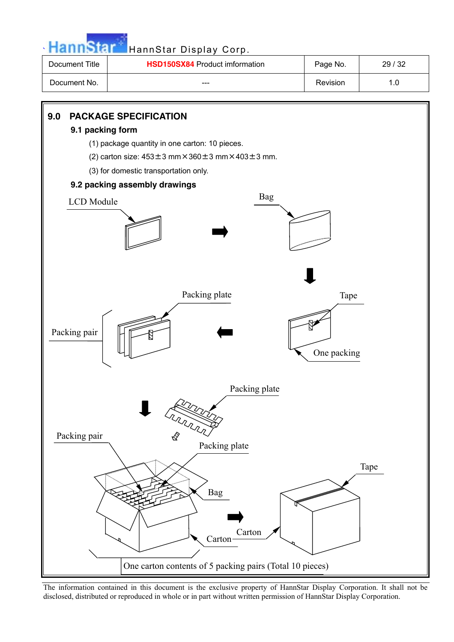

| Document Title | <b>HSD150SX84</b> Product imformation | Page No. | 29/32 |
|----------------|---------------------------------------|----------|-------|
| Document No.   | $- - -$                               | Revision |       |

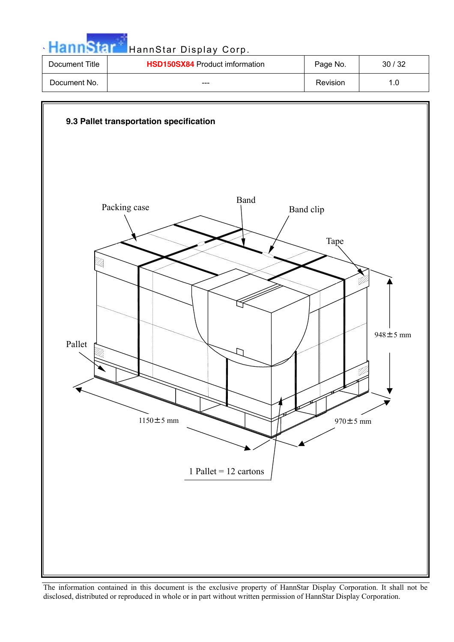

| Document Title | <b>HSD150SX84</b> Product imformation | Page No. | 30/32 |
|----------------|---------------------------------------|----------|-------|
| Document No.   | $- - -$                               | Revision |       |

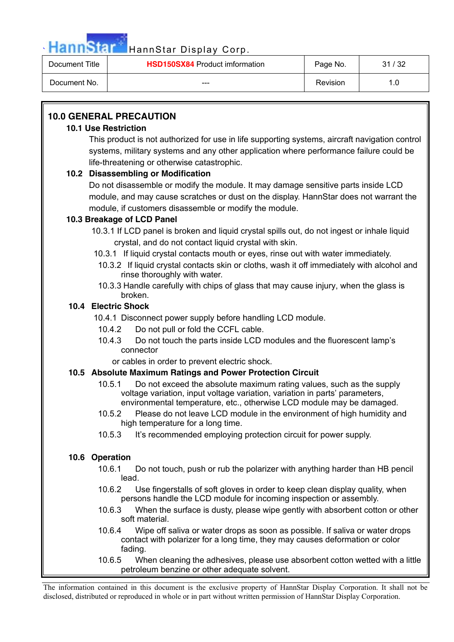

| Document Title | <b>HSD150SX84</b> Product imformation | Page No. | ' / 32<br>31 |
|----------------|---------------------------------------|----------|--------------|
| Document No.   | $- - -$                               | Revision |              |

### **10.0 GENERAL PRECAUTION**

### **10.1 Use Restriction**

This product is not authorized for use in life supporting systems, aircraft navigation control systems, military systems and any other application where performance failure could be life-threatening or otherwise catastrophic.

### **10.2 Disassembling or Modification**

Do not disassemble or modify the module. It may damage sensitive parts inside LCD module, and may cause scratches or dust on the display. HannStar does not warrant the module, if customers disassemble or modify the module.

### **10.3 Breakage of LCD Panel**

 10.3.1 If LCD panel is broken and liquid crystal spills out, do not ingest or inhale liquid crystal, and do not contact liquid crystal with skin.

- 10.3.1 If liquid crystal contacts mouth or eyes, rinse out with water immediately.
- 10.3.2 If liquid crystal contacts skin or cloths, wash it off immediately with alcohol and rinse thoroughly with water.
- 10.3.3 Handle carefully with chips of glass that may cause injury, when the glass is broken.

### **10.4 Electric Shock**

- 10.4.1 Disconnect power supply before handling LCD module.
- 10.4.2 Do not pull or fold the CCFL cable.
- 10.4.3 Do not touch the parts inside LCD modules and the fluorescent lamp's connector

or cables in order to prevent electric shock.

### **10.5 Absolute Maximum Ratings and Power Protection Circuit**

- 10.5.1 Do not exceed the absolute maximum rating values, such as the supply voltage variation, input voltage variation, variation in parts' parameters, environmental temperature, etc., otherwise LCD module may be damaged.
- 10.5.2 Please do not leave LCD module in the environment of high humidity and high temperature for a long time.
- 10.5.3 It's recommended employing protection circuit for power supply.

### **10.6 Operation**

- 10.6.1 Do not touch, push or rub the polarizer with anything harder than HB pencil lead.
- 10.6.2 Use fingerstalls of soft gloves in order to keep clean display quality, when persons handle the LCD module for incoming inspection or assembly.
- 10.6.3 When the surface is dusty, please wipe gently with absorbent cotton or other soft material.
- 10.6.4 Wipe off saliva or water drops as soon as possible. If saliva or water drops contact with polarizer for a long time, they may causes deformation or color fading.
- 10.6.5 When cleaning the adhesives, please use absorbent cotton wetted with a little petroleum benzine or other adequate solvent.